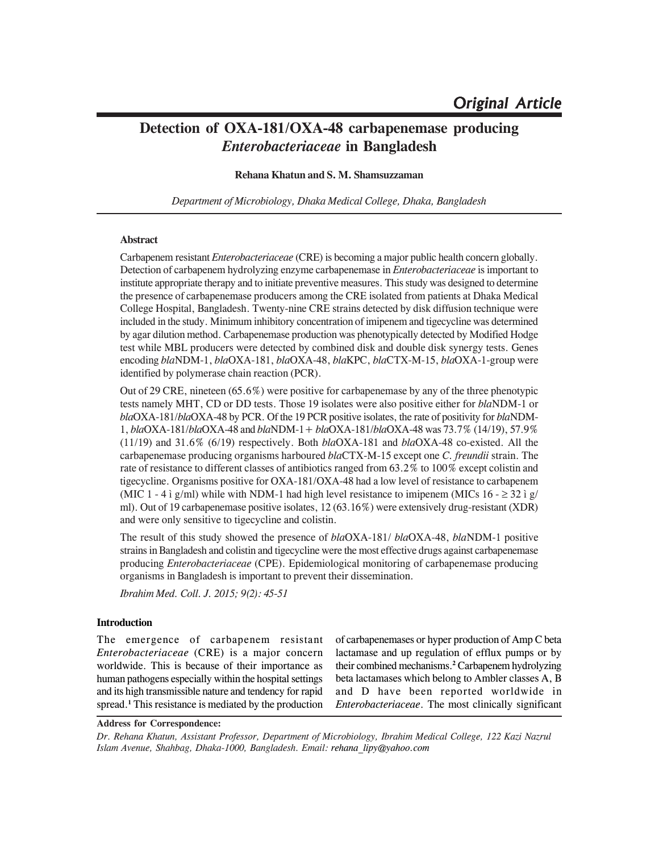# **Detection of OXA-181/OXA-48 carbapenemase producing** *Enterobacteriaceae* **in Bangladesh**

# **Rehana Khatun and S. M. Shamsuzzaman**

*Department of Microbiology, Dhaka Medical College, Dhaka, Bangladesh*

# **Abstract**

Carbapenem resistant *Enterobacteriaceae* (CRE) is becoming a major public health concern globally. Detection of carbapenem hydrolyzing enzyme carbapenemase in *Enterobacteriaceae* is important to institute appropriate therapy and to initiate preventive measures. This study was designed to determine the presence of carbapenemase producers among the CRE isolated from patients at Dhaka Medical College Hospital, Bangladesh. Twenty-nine CRE strains detected by disk diffusion technique were included in the study. Minimum inhibitory concentration of imipenem and tigecycline was determined by agar dilution method. Carbapenemase production was phenotypically detected by Modified Hodge test while MBL producers were detected by combined disk and double disk synergy tests. Genes encoding *bla*NDM-1, *bla*OXA-181, *bla*OXA-48, *bla*KPC, *bla*CTX-M-15, *bla*OXA-1-group were identified by polymerase chain reaction (PCR).

Out of 29 CRE, nineteen (65.6%) were positive for carbapenemase by any of the three phenotypic tests namely MHT, CD or DD tests. Those 19 isolates were also positive either for *bla*NDM-1 or *bla*OXA-181/*bla*OXA-48 by PCR. Of the 19 PCR positive isolates, the rate of positivity for *bla*NDM-1, *bla*OXA-181/*bla*OXA-48 and *bla*NDM-1+ *bla*OXA-181/*bla*OXA-48 was 73.7% (14/19), 57.9% (11/19) and 31.6% (6/19) respectively. Both *bla*OXA-181 and *bla*OXA-48 co-existed. All the carbapenemase producing organisms harboured *bla*CTX-M-15 except one *C. freundii* strain. The rate of resistance to different classes of antibiotics ranged from 63.2% to 100% except colistin and tigecycline. Organisms positive for OXA-181/OXA-48 had a low level of resistance to carbapenem (MIC 1 - 4 ì g/ml) while with NDM-1 had high level resistance to imipenem (MICs  $16 - \geq 32$  ì g/ ml). Out of 19 carbapenemase positive isolates, 12 (63.16%) were extensively drug-resistant (XDR) and were only sensitive to tigecycline and colistin.

The result of this study showed the presence of *bla*OXA-181/ *bla*OXA-48, *bla*NDM-1 positive strains in Bangladesh and colistin and tigecycline were the most effective drugs against carbapenemase producing *Enterobacteriaceae* (CPE). Epidemiological monitoring of carbapenemase producing organisms in Bangladesh is important to prevent their dissemination.

*Ibrahim Med. Coll. J. 2015; 9(2): 45-51*

# **Introduction**

The emergence of carbapenem resistant *Enterobacteriaceae* (CRE) is a major concern worldwide. This is because of their importance as human pathogens especially within the hospital settings and its high transmissible nature and tendency for rapid spread.**<sup>1</sup>** This resistance is mediated by the production

of carbapenemases or hyper production of Amp C beta lactamase and up regulation of efflux pumps or by their combined mechanisms.**<sup>2</sup>** Carbapenem hydrolyzing beta lactamases which belong to Ambler classes A, B and D have been reported worldwide in *Enterobacteriaceae*. The most clinically significant

#### **Address for Correspondence:**

*Dr. Rehana Khatun, Assistant Professor, Department of Microbiology, Ibrahim Medical College, 122 Kazi Nazrul Islam Avenue, Shahbag, Dhaka-1000, Bangladesh. Email: rehana\_lipy@yahoo.com*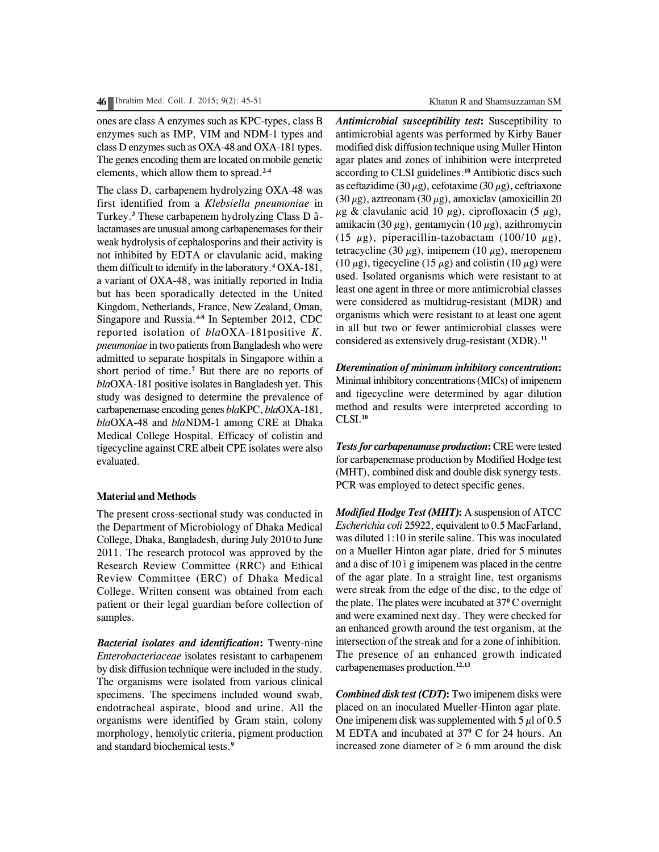ones are class A enzymes such as KPC-types, class B enzymes such as IMP, VIM and NDM-1 types and class D enzymes such as OXA-48 and OXA-181 types. The genes encoding them are located on mobile genetic elements, which allow them to spread.**2-4**

The class D, carbapenem hydrolyzing OXA-48 was first identified from a *Klebsiella pneumoniae* in Turkey.**<sup>3</sup>** These carbapenem hydrolyzing Class D âlactamases are unusual among carbapenemases for their weak hydrolysis of cephalosporins and their activity is not inhibited by EDTA or clavulanic acid, making them difficult to identify in the laboratory.**<sup>4</sup>** OXA-181, a variant of OXA-48, was initially reported in India but has been sporadically detected in the United Kingdom, Netherlands, France, New Zealand, Oman, Singapore and Russia.**4-8** In September 2012, CDC reported isolation of *bla*OXA-181positive *K. pneumoniae* in two patients from Bangladesh who were admitted to separate hospitals in Singapore within a short period of time.**<sup>7</sup>** But there are no reports of *bla*OXA-181 positive isolates in Bangladesh yet. This study was designed to determine the prevalence of carbapenemase encoding genes *bla*KPC, *bla*OXA-181, *bla*OXA-48 and *bla*NDM-1 among CRE at Dhaka Medical College Hospital. Efficacy of colistin and tigecycline against CRE albeit CPE isolates were also evaluated.

# **Material and Methods**

The present cross-sectional study was conducted in the Department of Microbiology of Dhaka Medical College, Dhaka, Bangladesh, during July 2010 to June 2011. The research protocol was approved by the Research Review Committee (RRC) and Ethical Review Committee (ERC) of Dhaka Medical College. Written consent was obtained from each patient or their legal guardian before collection of samples.

*Bacterial isolates and identification***:** Twenty-nine *Enterobacteriaceae* isolates resistant to carbapenem by disk diffusion technique were included in the study. The organisms were isolated from various clinical specimens. The specimens included wound swab, endotracheal aspirate, blood and urine. All the organisms were identified by Gram stain, colony morphology, hemolytic criteria, pigment production and standard biochemical tests.**<sup>9</sup>**

*Antimicrobial susceptibility test***:** Susceptibility to antimicrobial agents was performed by Kirby Bauer modified disk diffusion technique using Muller Hinton agar plates and zones of inhibition were interpreted according to CLSI guidelines.**<sup>10</sup>** Antibiotic discs such as ceftazidime (30  $\mu$ g), cefotaxime (30  $\mu$ g), ceftriaxone (30  $\mu$ g), aztreonam (30  $\mu$ g), amoxiclav (amoxicillin 20  $\mu$ g & clavulanic acid 10  $\mu$ g), ciprofloxacin (5  $\mu$ g), amikacin (30  $\mu$ g), gentamycin (10  $\mu$ g), azithromycin (15  $\mu$ g), piperacillin-tazobactam (100/10  $\mu$ g), tetracycline (30  $\mu$ g), imipenem (10  $\mu$ g), meropenem (10  $\mu$ g), tigecycline (15  $\mu$ g) and colistin (10  $\mu$ g) were used. Isolated organisms which were resistant to at least one agent in three or more antimicrobial classes were considered as multidrug-resistant (MDR) and organisms which were resistant to at least one agent in all but two or fewer antimicrobial classes were considered as extensively drug-resistant (XDR).**<sup>11</sup>**

*Dteremination of minimum inhibitory concentration***:** Minimal inhibitory concentrations (MICs) of imipenem and tigecycline were determined by agar dilution method and results were interpreted according to CLSI.**<sup>10</sup>**

*Tests for carbapenamase production***:** CRE were tested for carbapenemase production by Modified Hodge test (MHT), combined disk and double disk synergy tests. PCR was employed to detect specific genes.

*Modified Hodge Test (MHT)***:** A suspension of ATCC *Escherichia coli* 25922, equivalent to 0.5 MacFarland, was diluted 1:10 in sterile saline. This was inoculated on a Mueller Hinton agar plate, dried for 5 minutes and a disc of 10 ì g imipenem was placed in the centre of the agar plate. In a straight line, test organisms were streak from the edge of the disc, to the edge of the plate. The plates were incubated at 37<sup>°</sup> C overnight and were examined next day. They were checked for an enhanced growth around the test organism, at the intersection of the streak and for a zone of inhibition. The presence of an enhanced growth indicated carbapenemases production.**12,13**

*Combined disk test (CDT)***:** Two imipenem disks were placed on an inoculated Mueller-Hinton agar plate. One imipenem disk was supplemented with  $5 \mu$ l of 0.5 M EDTA and incubated at 37**<sup>0</sup>** C for 24 hours. An increased zone diameter of  $\geq 6$  mm around the disk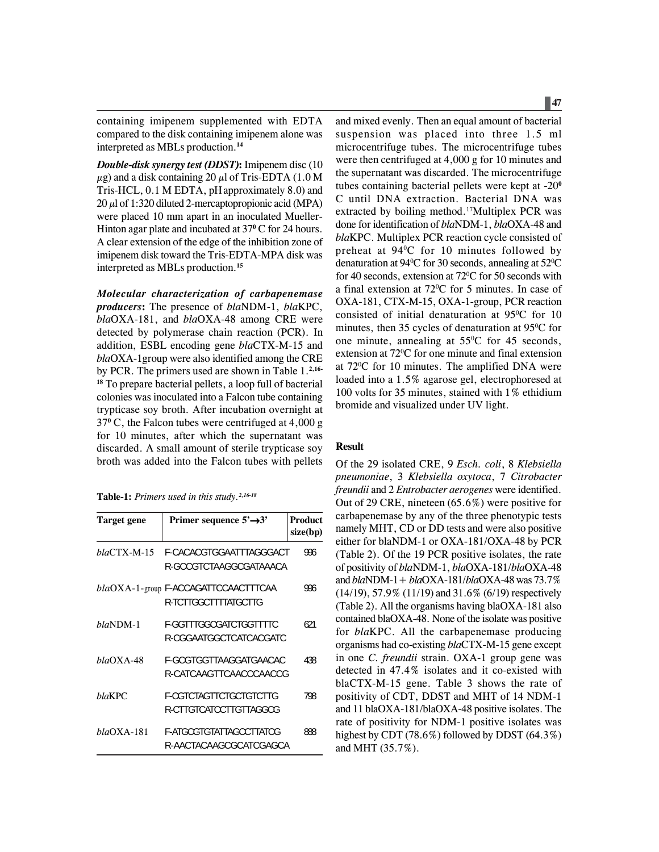containing imipenem supplemented with EDTA compared to the disk containing imipenem alone was interpreted as MBLs production.**<sup>14</sup>**

*Double-disk synergy test (DDST)***:** Imipenem disc (10  $\mu$ g) and a disk containing 20  $\mu$ l of Tris-EDTA (1.0 M Tris-HCL, 0.1 M EDTA, pHapproximately 8.0) and  $20 \mu$ l of 1:320 diluted 2-mercaptopropionic acid (MPA) were placed 10 mm apart in an inoculated Mueller-Hinton agar plate and incubated at 37**<sup>0</sup>** C for 24 hours. A clear extension of the edge of the inhibition zone of imipenem disk toward the Tris-EDTA-MPA disk was interpreted as MBLs production.**<sup>15</sup>**

*Molecular characterization of carbapenemase producers***:** The presence of *bla*NDM-1, *bla*KPC, *bla*OXA-181, and *bla*OXA-48 among CRE were detected by polymerase chain reaction (PCR). In addition, ESBL encoding gene *bla*CTX-M-15 and *bla*OXA-1group were also identified among the CRE by PCR. The primers used are shown in Table 1.**2,16- <sup>18</sup>** To prepare bacterial pellets, a loop full of bacterial colonies was inoculated into a Falcon tube containing trypticase soy broth. After incubation overnight at 37**<sup>0</sup>** C, the Falcon tubes were centrifuged at 4,000 g for 10 minutes, after which the supernatant was discarded. A small amount of sterile trypticase soy broth was added into the Falcon tubes with pellets

**Table-1:** *Primers used in this study.2,16-18*

| <b>Target gene</b> | Primer sequence $5' \rightarrow 3'$                          | Product<br>size(bp) |
|--------------------|--------------------------------------------------------------|---------------------|
| blaCTX-M-15        | F-CACACGTGGAATTTAGGGACT<br>R-GCCGTCTAAGGCGATAAACA            | 996                 |
|                    | blaOXA-1-group F-ACCAGATTCCAACTTTCAA<br>R-TCTTGGCTTTTATGCTTG | 996                 |
| $blaNDM-1$         | F-GGTTTGGCGATCTGGTTTTC<br>R-CGGAATGGCTCATCACGATC             | 621                 |
| blaOXA-48          | F-GCGTGGTTAAGGATGAACAC<br>R-CATCAAGTTCAACCCAACCG             | 438                 |
| blaKPC             | F-CGTCTAGTTCTGCTGTCTTG<br>R-CTTGTCATCCTTGTTAGGCG             | 798                 |
| $blaOXA-181$       | F-ATGCGTGTATTAGCCTTATCG<br>R-AACTACAAGCGCATCGAGCA            | 888                 |

and mixed evenly. Then an equal amount of bacterial suspension was placed into three 1.5 ml microcentrifuge tubes. The microcentrifuge tubes were then centrifuged at 4,000 g for 10 minutes and the supernatant was discarded. The microcentrifuge tubes containing bacterial pellets were kept at -20**<sup>0</sup>** C until DNA extraction. Bacterial DNA was extracted by boiling method.<sup>17</sup>Multiplex PCR was done for identification of *bla*NDM-1, *bla*OXA-48 and *bla*KPC. Multiplex PCR reaction cycle consisted of preheat at 94<sup>°</sup>C for 10 minutes followed by denaturation at 94°C for 30 seconds, annealing at 52°C for 40 seconds, extension at  $72^{\circ}$ C for 50 seconds with a final extension at  $72^{\circ}$ C for 5 minutes. In case of OXA-181, CTX-M-15, OXA-1-group, PCR reaction consisted of initial denaturation at  $95^{\circ}$ C for 10 minutes, then 35 cycles of denaturation at  $95^{\circ}$ C for one minute, annealing at  $55^{\circ}$ C for 45 seconds, extension at 72<sup>o</sup>C for one minute and final extension at 72<sup>o</sup>C for 10 minutes. The amplified DNA were loaded into a 1.5% agarose gel, electrophoresed at 100 volts for 35 minutes, stained with 1% ethidium bromide and visualized under UV light.

## **Result**

Of the 29 isolated CRE, 9 *Esch. coli*, 8 *Klebsiella pneumoniae*, 3 *Klebsiella oxytoca*, 7 *Citrobacter freundii* and 2 *Entrobacter aerogenes* were identified. Out of 29 CRE, nineteen (65.6%) were positive for carbapenemase by any of the three phenotypic tests namely MHT, CD or DD tests and were also positive either for blaNDM-1 or OXA-181/OXA-48 by PCR (Table 2). Of the 19 PCR positive isolates, the rate of positivity of *bla*NDM-1, *bla*OXA-181/*bla*OXA-48 and *bla*NDM-1+ *bla*OXA-181/*bla*OXA-48 was 73.7% (14/19), 57.9% (11/19) and 31.6% (6/19) respectively (Table 2). All the organisms having blaOXA-181 also contained blaOXA-48. None of the isolate was positive for *bla*KPC. All the carbapenemase producing organisms had co-existing *bla*CTX-M-15 gene except in one *C. freundii* strain. OXA-1 group gene was detected in 47.4% isolates and it co-existed with blaCTX-M-15 gene. Table 3 shows the rate of positivity of CDT, DDST and MHT of 14 NDM-1 and 11 blaOXA-181/blaOXA-48 positive isolates. The rate of positivity for NDM-1 positive isolates was highest by CDT (78.6%) followed by DDST (64.3%) and MHT (35.7%).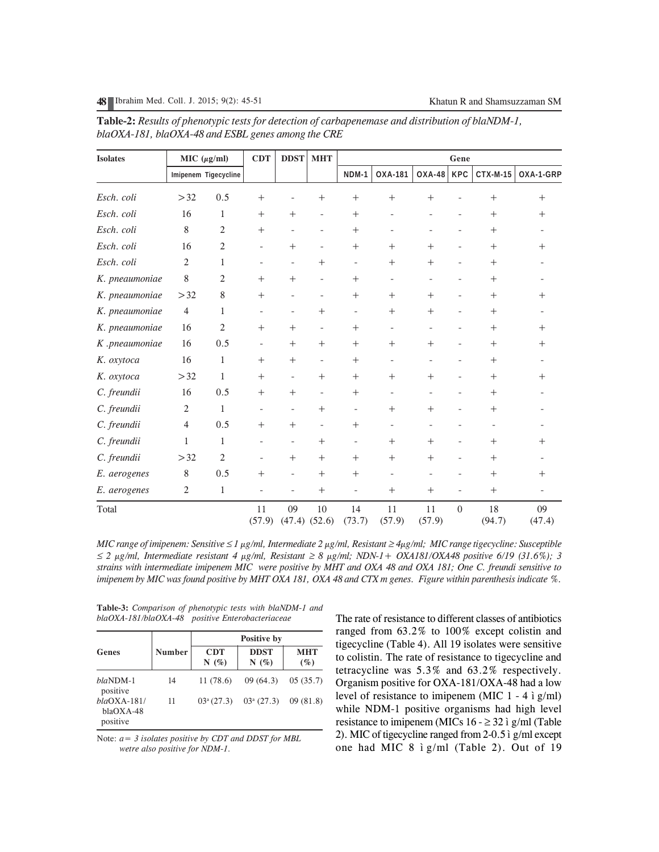**48** Ibrahim Med. Coll. J. 2015; 9(2): 45-51 Khatun R and Shamsuzzaman SM

| <b>Isolates</b> | MIC $(\mu g/ml)$ |                      | <b>CDT</b>               | <b>DDST</b>              | <b>MHT</b>               | Gene                     |                          |                          |                              |                   |                          |
|-----------------|------------------|----------------------|--------------------------|--------------------------|--------------------------|--------------------------|--------------------------|--------------------------|------------------------------|-------------------|--------------------------|
|                 |                  | Imipenem Tigecycline |                          |                          |                          | NDM-1                    | OXA-181                  | 0XA-48                   | KPC                          | CTX-M-15          | OXA-1-GRP                |
| Esch. coli      | >32              | 0.5                  | $^{+}$                   |                          | $^{+}$                   | $+$                      | $^{+}$                   | $^{+}$                   | $\overline{\phantom{a}}$     | $^{+}$            | $^{+}$                   |
| Esch. coli      | 16               | 1                    | $^{+}$                   | $+$                      | $\overline{\phantom{a}}$ | $+$                      | $\overline{\phantom{a}}$ |                          | $\overline{\phantom{a}}$     | $^{+}$            | $+$                      |
| Esch. coli      | 8                | $\overline{2}$       | $^{+}$                   | $\overline{\phantom{a}}$ | $\overline{\phantom{a}}$ | $^{+}$                   | $\qquad \qquad -$        | $\overline{\phantom{a}}$ | $\overline{\phantom{a}}$     | $^{+}$            | $\overline{\phantom{a}}$ |
| Esch. coli      | 16               | $\mathbf{2}$         | $\overline{\phantom{a}}$ | $+$                      | $\overline{\phantom{a}}$ | $^{+}$                   | $+$                      | $+$                      | $\overline{\phantom{a}}$     | $^{+}$            | $+$                      |
| Esch. coli      | $\overline{2}$   | 1                    | $\overline{\phantom{a}}$ | $\overline{\phantom{a}}$ | $+$                      | $\overline{\phantom{0}}$ | $+$                      | $+$                      | $\overline{\phantom{a}}$     | $^{+}$            |                          |
| K. pneaumoniae  | 8                | $\overline{2}$       | $^{+}$                   | $+$                      | $\overline{\phantom{a}}$ | $+$                      | $\qquad \qquad -$        |                          | $\overline{\phantom{a}}$     | $^{+}$            |                          |
| K. pneaumoniae  | >32              | 8                    | $^{+}$                   | $\qquad \qquad -$        | $\overline{\phantom{a}}$ | $^{+}$                   | $^{+}$                   | $+$                      | $\qquad \qquad \blacksquare$ | $^{+}$            | $+$                      |
| K. pneaumoniae  | $\overline{4}$   | $\mathbf{1}$         | $\overline{\phantom{a}}$ | $\overline{\phantom{a}}$ | $^{+}$                   | $\overline{\phantom{a}}$ | $^{+}$                   | $^{+}$                   | $\overline{\phantom{a}}$     | $^{+}$            | $\overline{\phantom{0}}$ |
| K. pneaumoniae  | 16               | $\overline{2}$       | $^{+}$                   | $+$                      | $\overline{\phantom{a}}$ | $+$                      | $\qquad \qquad -$        |                          | $\overline{\phantom{a}}$     | $^{+}$            | $+$                      |
| K .pneaumoniae  | 16               | 0.5                  | $\overline{\phantom{a}}$ | $+$                      | $^{+}$                   | $^{+}$                   | $+$                      | $+$                      | $\overline{\phantom{a}}$     | $+$               | $^{+}$                   |
| K. oxytoca      | 16               | $\mathbf{1}$         | $^{+}$                   | $^{+}$                   | $\overline{\phantom{a}}$ | $+$                      | $\qquad \qquad -$        |                          |                              | $^{+}$            |                          |
| K. oxytoca      | >32              | $\mathbf{1}$         | $^{+}$                   | $\overline{\phantom{a}}$ | $+$                      | $+$                      | $+$                      | $+$                      | $\overline{\phantom{a}}$     | $^{+}$            | $+$                      |
| C. freundii     | 16               | 0.5                  | $^{+}$                   | $+$                      | $\overline{\phantom{a}}$ | $+$                      | $\overline{\phantom{a}}$ |                          | $\overline{\phantom{0}}$     | $^{+}$            |                          |
| C. freundii     | $\overline{2}$   | $\mathbf{1}$         |                          | $\overline{\phantom{a}}$ | $^{+}$                   | $\overline{a}$           | $+$                      | $^{+}$                   | $\qquad \qquad -$            | $^{+}$            |                          |
| C. freundii     | $\overline{4}$   | 0.5                  | $^{+}$                   | $+$                      | $\overline{\phantom{a}}$ | $^{+}$                   | $\overline{\phantom{a}}$ | $\overline{\phantom{a}}$ | $\overline{\phantom{a}}$     | $\qquad \qquad -$ |                          |
| C. freundii     | 1                | 1                    | $\overline{\phantom{a}}$ | $\overline{\phantom{a}}$ | $+$                      | $\overline{\phantom{0}}$ | $+$                      | $+$                      | $\overline{\phantom{a}}$     | $^{+}$            | $+$                      |
| C. freundii     | >32              | $\mathbf{2}$         | $\overline{a}$           | $+$                      | $^{+}$                   | $+$                      | $+$                      | $+$                      | $\overline{\phantom{a}}$     | $^{+}$            |                          |
| E. aerogenes    | 8                | 0.5                  | $^{+}$                   | $\overline{\phantom{a}}$ | $^{+}$                   | $^{+}$                   | $\bar{\phantom{a}}$      |                          |                              | $^{+}$            | $+$                      |
| E. aerogenes    | $\sqrt{2}$       | $\mathbf{1}$         |                          |                          | $^{+}$                   |                          | $+$                      | $+$                      | $\overline{a}$               | $^{+}$            |                          |
| Total           |                  |                      | 11<br>(57.9)             | 09<br>$(47.4)$ $(52.6)$  | 10                       | 14<br>(73.7)             | 11<br>(57.9)             | 11<br>(57.9)             | $\Omega$                     | 18<br>(94.7)      | 09<br>(47.4)             |

**Table-2:** *Results of phenotypic tests for detection of carbapenemase and distribution of blaNDM-1, blaOXA-181, blaOXA-48 and ESBL genes among the CRE*

*MIC range of imipenem: Sensitive* ≤ *1 µg/ml, Intermediate 2 µg/ml, Resistant* ≥ *4µg/ml; MIC range tigecycline: Susceptible* <sup>≤</sup> *2 µg/ml, Intermediate resistant 4 µg/ml, Resistant* ≥ *8 µg/ml; NDN-1+ OXA181/OXA48 positive 6/19 (31.6%); 3 strains with intermediate imipenem MIC were positive by MHT and OXA 48 and OXA 181; One C. freundi sensitive to imipenem by MIC was found positive by MHT OXA 181, OXA 48 and CTX m genes. Figure within parenthesis indicate %.*

**Table-3:** *Comparison of phenotypic tests with blaNDM-1 and blaOXA-181/blaOXA-48 positive Enterobacteriaceae*

| Genes                                    | <b>Number</b> | Positive by        |                                         |                      |  |  |  |
|------------------------------------------|---------------|--------------------|-----------------------------------------|----------------------|--|--|--|
|                                          |               | <b>CDT</b><br>N(%) | <b>DDST</b><br>N(%)                     | <b>MHT</b><br>$(\%)$ |  |  |  |
| blaNDM-1<br>positive                     | 14            | 11 (78.6)          | 09(64.3)                                | 05(35.7)             |  |  |  |
| $blaOXA-181/$<br>$blaOXA-48$<br>positive | 11            |                    | $03^a (27.3)$ $03^a (27.3)$ $09 (81.8)$ |                      |  |  |  |

Note: *a= 3 isolates positive by CDT and DDST for MBL wetre also positive for NDM-1.*

The rate of resistance to different classes of antibiotics ranged from 63.2% to 100% except colistin and tigecycline (Table 4). All 19 isolates were sensitive to colistin. The rate of resistance to tigecycline and tetracycline was 5.3% and 63.2% respectively. Organism positive for OXA-181/OXA-48 had a low level of resistance to imipenem (MIC 1 - 4 ì g/ml) while NDM-1 positive organisms had high level resistance to imipenem (MICs  $16 - \geq 32$  ì g/ml (Table 2). MIC of tigecycline ranged from 2-0.5 ì g/ml except one had MIC 8 ì g/ml (Table 2). Out of 19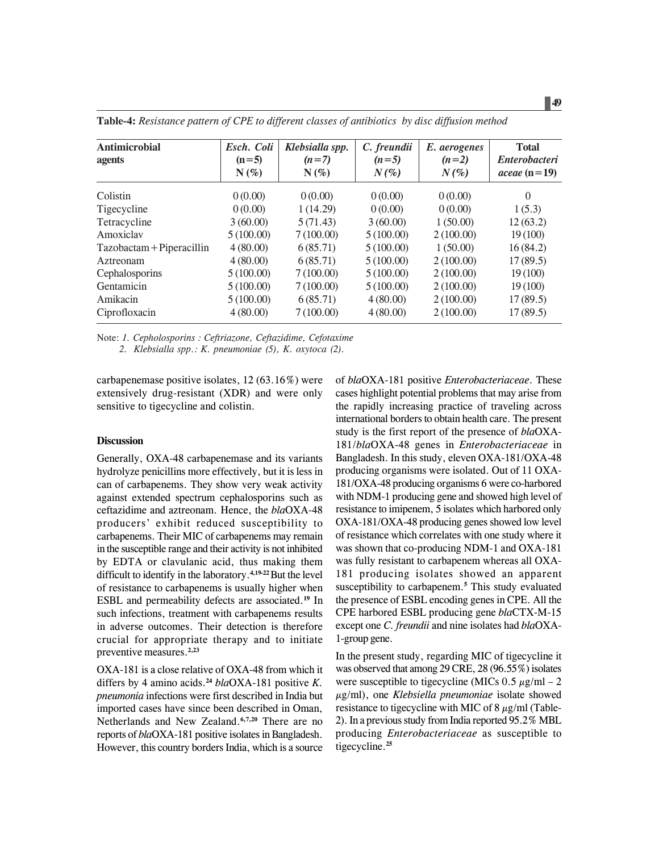| <b>Antimicrobial</b><br>agents | Esch. Coli<br>$(n=5)$<br>$N(\%)$ | Klebsialla spp.<br>$(n=7)$<br>$N(\%)$ | C. freundii<br>$(n=5)$<br>$N(\%)$ | E. aerogenes<br>$(n=2)$<br>$N(\%)$ | <b>Total</b><br><b>Enterobacteri</b><br>aceae $(n=19)$ |
|--------------------------------|----------------------------------|---------------------------------------|-----------------------------------|------------------------------------|--------------------------------------------------------|
| Colistin                       | 0(0.00)                          | 0(0.00)                               | 0(0.00)                           | 0(0.00)                            | $\Omega$                                               |
| Tigecycline                    | 0(0.00)                          | 1(14.29)                              | 0(0.00)                           | 0(0.00)                            | 1(5.3)                                                 |
| Tetracycline                   | 3(60.00)                         | 5(71.43)                              | 3(60.00)                          | 1(50.00)                           | 12(63.2)                                               |
| Amoxiclay                      | 5(100.00)                        | 7(100.00)                             | 5(100.00)                         | 2(100.00)                          | 19(100)                                                |
| Tazobactam + Piperacillin      | 4(80.00)                         | 6(85.71)                              | 5(100.00)                         | 1(50.00)                           | 16(84.2)                                               |
| Aztreonam                      | 4(80.00)                         | 6(85.71)                              | 5(100.00)                         | 2(100.00)                          | 17(89.5)                                               |
| Cephalosporins                 | 5(100.00)                        | 7(100.00)                             | 5(100.00)                         | 2(100.00)                          | 19(100)                                                |
| Gentamicin                     | 5(100.00)                        | 7(100.00)                             | 5(100.00)                         | 2(100.00)                          | 19(100)                                                |
| Amikacin                       | 5(100.00)                        | 6(85.71)                              | 4(80.00)                          | 2(100.00)                          | 17(89.5)                                               |
| Ciprofloxacin                  | 4(80.00)                         | 7(100.00)                             | 4(80.00)                          | 2(100.00)                          | 17(89.5)                                               |

**Table-4:** *Resistance pattern of CPE to different classes of antibiotics by disc diffusion method*

Note: *1. Cepholosporins : Ceftriazone, Ceftazidime, Cefotaxime*

 *2. Klebsialla spp.: K. pneumoniae (5), K. oxytoca (2).*

carbapenemase positive isolates, 12 (63.16%) were extensively drug-resistant (XDR) and were only sensitive to tigecycline and colistin.

# **Discussion**

Generally, OXA-48 carbapenemase and its variants hydrolyze penicillins more effectively, but it is less in can of carbapenems. They show very weak activity against extended spectrum cephalosporins such as ceftazidime and aztreonam. Hence, the *bla*OXA-48 producers' exhibit reduced susceptibility to carbapenems. Their MIC of carbapenems may remain in the susceptible range and their activity is not inhibited by EDTA or clavulanic acid, thus making them difficult to identify in the laboratory.**4,19-22**But the level of resistance to carbapenems is usually higher when ESBL and permeability defects are associated.**<sup>19</sup>** In such infections, treatment with carbapenems results in adverse outcomes. Their detection is therefore crucial for appropriate therapy and to initiate preventive measures.**2,23**

OXA-181 is a close relative of OXA-48 from which it differs by 4 amino acids.**<sup>24</sup>** *bla*OXA-181 positive *K. pneumonia* infections were first described in India but imported cases have since been described in Oman, Netherlands and New Zealand.**6,7,20** There are no reports of *bla*OXA-181 positive isolates in Bangladesh. However, this country borders India, which is a source

of *bla*OXA-181 positive *Enterobacteriaceae*. These cases highlight potential problems that may arise from the rapidly increasing practice of traveling across international borders to obtain health care. The present study is the first report of the presence of *bla*OXA-181/*bla*OXA-48 genes in *Enterobacteriaceae* in Bangladesh. In this study, eleven OXA-181/OXA-48 producing organisms were isolated. Out of 11 OXA-181/OXA-48 producing organisms 6 were co-harbored with NDM-1 producing gene and showed high level of resistance to imipenem, 5 isolates which harbored only OXA-181/OXA-48 producing genes showed low level of resistance which correlates with one study where it was shown that co-producing NDM-1 and OXA-181 was fully resistant to carbapenem whereas all OXA-181 producing isolates showed an apparent susceptibility to carbapenem.**<sup>5</sup>** This study evaluated the presence of ESBL encoding genes in CPE. All the CPE harbored ESBL producing gene *bla*CTX-M-15 except one *C. freundii* and nine isolates had *bla*OXA-1-group gene.

In the present study, regarding MIC of tigecycline it was observed that among 29 CRE, 28 (96.55%) isolates were susceptible to tigecycline (MICs  $0.5 \mu g/ml - 2$ µg/ml), one *Klebsiella pneumoniae* isolate showed resistance to tigecycline with MIC of  $8 \mu g/ml$  (Table-2). In a previous study from India reported 95.2% MBL producing *Enterobacteriaceae* as susceptible to tigecycline.**<sup>25</sup>**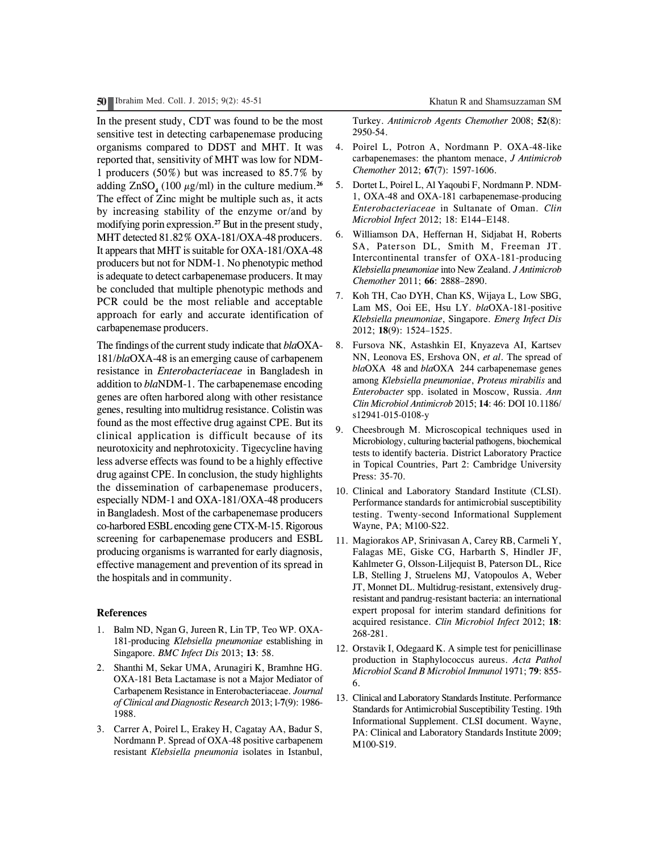**50** Ibrahim Med. Coll. J. 2015; 9(2): 45-51 Khatun R and Shamsuzzaman SM

In the present study, CDT was found to be the most sensitive test in detecting carbapenemase producing organisms compared to DDST and MHT. It was reported that, sensitivity of MHT was low for NDM-1 producers (50%) but was increased to 85.7% by adding  $ZnSO_4$  (100  $\mu$ g/ml) in the culture medium.<sup>26</sup> The effect of Zinc might be multiple such as, it acts by increasing stability of the enzyme or/and by modifying porin expression.**<sup>27</sup>** But in the present study, MHT detected 81.82% OXA-181/OXA-48 producers. It appears that MHT is suitable for OXA-181/OXA-48 producers but not for NDM-1. No phenotypic method is adequate to detect carbapenemase producers. It may be concluded that multiple phenotypic methods and PCR could be the most reliable and acceptable approach for early and accurate identification of carbapenemase producers.

The findings of the current study indicate that *bla*OXA-181/*bla*OXA-48 is an emerging cause of carbapenem resistance in *Enterobacteriaceae* in Bangladesh in addition to *bla*NDM-1. The carbapenemase encoding genes are often harbored along with other resistance genes, resulting into multidrug resistance. Colistin was found as the most effective drug against CPE. But its clinical application is difficult because of its neurotoxicity and nephrotoxicity. Tigecycline having less adverse effects was found to be a highly effective drug against CPE. In conclusion, the study highlights the dissemination of carbapenemase producers, especially NDM-1 and OXA-181/OXA-48 producers in Bangladesh. Most of the carbapenemase producers co-harbored ESBL encoding gene CTX-M-15. Rigorous screening for carbapenemase producers and ESBL producing organisms is warranted for early diagnosis, effective management and prevention of its spread in the hospitals and in community.

## **References**

- 1. Balm ND, Ngan G, Jureen R, Lin TP, Teo WP. OXA-181-producing *Klebsiella pneumoniae* establishing in Singapore. *BMC Infect Dis* 2013; **13**: 58.
- 2. Shanthi M, Sekar UMA, Arunagiri K, Bramhne HG. OXA-181 Beta Lactamase is not a Major Mediator of Carbapenem Resistance in Enterobacteriaceae. *Journal of Clinical and Diagnostic Research* 2013; l-**7**(9): 1986- 1988.
- 3. Carrer A, Poirel L, Erakey H, Cagatay AA, Badur S, Nordmann P. Spread of OXA-48 positive carbapenem resistant *Klebsiella pneumonia* isolates in Istanbul,

Turkey. *Antimicrob Agents Chemother* 2008; **52**(8): 2950-54.

- 4. Poirel L, Potron A, Nordmann P. OXA-48-like carbapenemases: the phantom menace, *J Antimicrob Chemother* 2012; **67**(7): 1597-1606.
- 5. Dortet L, Poirel L, Al Yaqoubi F, Nordmann P. NDM-1, OXA-48 and OXA-181 carbapenemase-producing *Enterobacteriaceae* in Sultanate of Oman. *Clin Microbiol Infect* 2012; 18: E144–E148.
- 6. Williamson DA, Heffernan H, Sidjabat H, Roberts SA, Paterson DL, Smith M, Freeman JT. Intercontinental transfer of OXA-181-producing *Klebsiella pneumoniae* into New Zealand. *J Antimicrob Chemother* 2011; **66**: 2888–2890.
- 7. Koh TH, Cao DYH, Chan KS, Wijaya L, Low SBG, Lam MS, Ooi EE, Hsu LY. *bla*OXA-181-positive *Klebsiella pneumoniae*, Singapore. *Emerg Infect Dis* 2012; **18**(9): 1524–1525.
- 8. Fursova NK, Astashkin EI, Knyazeva AI, Kartsev NN, Leonova ES, Ershova ON, *et al*. The spread of *bla*OXA 48 and *bla*OXA 244 carbapenemase genes among *Klebsiella pneumoniae*, *Proteus mirabilis* and *Enterobacter* spp. isolated in Moscow, Russia. *Ann Clin Microbiol Antimicrob* 2015; **14**: 46: DOI 10.1186/ s12941-015-0108-y
- 9. Cheesbrough M. Microscopical techniques used in Microbiology, culturing bacterial pathogens, biochemical tests to identify bacteria. District Laboratory Practice in Topical Countries, Part 2: Cambridge University Press: 35-70.
- 10. Clinical and Laboratory Standard Institute (CLSI). Performance standards for antimicrobial susceptibility testing. Twenty-second Informational Supplement Wayne, PA; M100-S22.
- 11. Magiorakos AP, Srinivasan A, Carey RB, Carmeli Y, Falagas ME, Giske CG, Harbarth S, Hindler JF, Kahlmeter G, Olsson-Liljequist B, Paterson DL, Rice LB, Stelling J, Struelens MJ, Vatopoulos A, Weber JT, Monnet DL. Multidrug-resistant, extensively drugresistant and pandrug-resistant bacteria: an international expert proposal for interim standard definitions for acquired resistance. *Clin Microbiol Infect* 2012; **18**: 268-281.
- 12. Orstavik I, Odegaard K. A simple test for penicillinase production in Staphylococcus aureus. *Acta Pathol Microbiol Scand B Microbiol Immunol* 1971; **79**: 855- 6.
- 13. Clinical and Laboratory Standards Institute. Performance Standards for Antimicrobial Susceptibility Testing. 19th Informational Supplement. CLSI document. Wayne, PA: Clinical and Laboratory Standards Institute 2009; M100-S19.